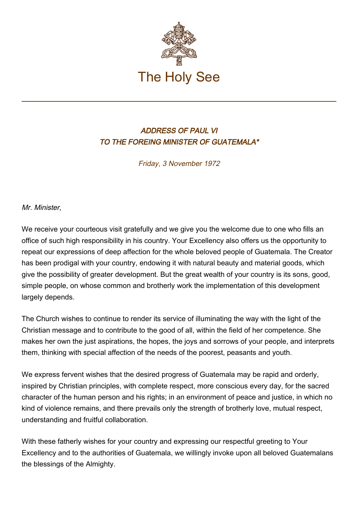

## ADDRESS OF PAUL VI TO THE FOREING MINISTER OF GUATEMALA\*

Friday, 3 November 1972

Mr. Minister,

We receive your courteous visit gratefully and we give you the welcome due to one who fills an office of such high responsibility in his country. Your Excellency also offers us the opportunity to repeat our expressions of deep affection for the whole beloved people of Guatemala. The Creator has been prodigal with your country, endowing it with natural beauty and material goods, which give the possibility of greater development. But the great wealth of your country is its sons, good, simple people, on whose common and brotherly work the implementation of this development largely depends.

The Church wishes to continue to render its service of illuminating the way with the light of the Christian message and to contribute to the good of all, within the field of her competence. She makes her own the just aspirations, the hopes, the joys and sorrows of your people, and interprets them, thinking with special affection of the needs of the poorest, peasants and youth.

We express fervent wishes that the desired progress of Guatemala may be rapid and orderly, inspired by Christian principles, with complete respect, more conscious every day, for the sacred character of the human person and his rights; in an environment of peace and justice, in which no kind of violence remains, and there prevails only the strength of brotherly love, mutual respect, understanding and fruitful collaboration.

With these fatherly wishes for your country and expressing our respectful greeting to Your Excellency and to the authorities of Guatemala, we willingly invoke upon all beloved Guatemalans the blessings of the Almighty.